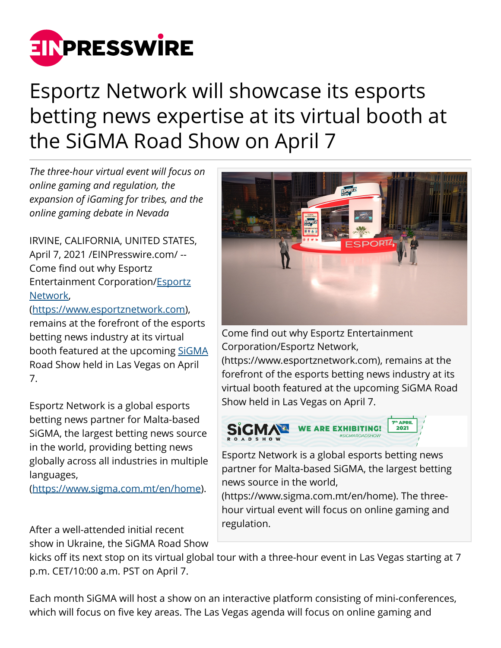

## Esportz Network will showcase its esports betting news expertise at its virtual booth at the SiGMA Road Show on April 7

*The three-hour virtual event will focus on online gaming and regulation, the expansion of iGaming for tribes, and the online gaming debate in Nevada*

IRVINE, CALIFORNIA, UNITED STATES, April 7, 2021 /[EINPresswire.com/](http://www.einpresswire.com) -- Come find out why Esportz Entertainment Corporation/[Esportz](https://www.esportznetwork.com/) [Network,](https://www.esportznetwork.com/)

(<https://www.esportznetwork.com>), remains at the forefront of the esports betting news industry at its virtual booth featured at the upcoming [SiGMA](https://www.sigma.com.mt/en/home) Road Show held in Las Vegas on April 7.

Esportz Network is a global esports betting news partner for Malta-based SiGMA, the largest betting news source in the world, providing betting news globally across all industries in multiple languages,

([https://www.sigma.com.mt/en/home\)](https://www.sigma.com.mt/en/home).

After a well-attended initial recent show in Ukraine, the SiGMA Road Show



Come find out why Esportz Entertainment Corporation/Esportz Network,

(https://www.esportznetwork.com), remains at the forefront of the esports betting news industry at its virtual booth featured at the upcoming SiGMA Road Show held in Las Vegas on April 7.



Esportz Network is a global esports betting news partner for Malta-based SiGMA, the largest betting news source in the world,

(https://www.sigma.com.mt/en/home). The threehour virtual event will focus on online gaming and regulation.

kicks off its next stop on its virtual global tour with a three-hour event in Las Vegas starting at 7 p.m. CET/10:00 a.m. PST on April 7.

Each month SiGMA will host a show on an interactive platform consisting of mini-conferences, which will focus on five key areas. The Las Vegas agenda will focus on online gaming and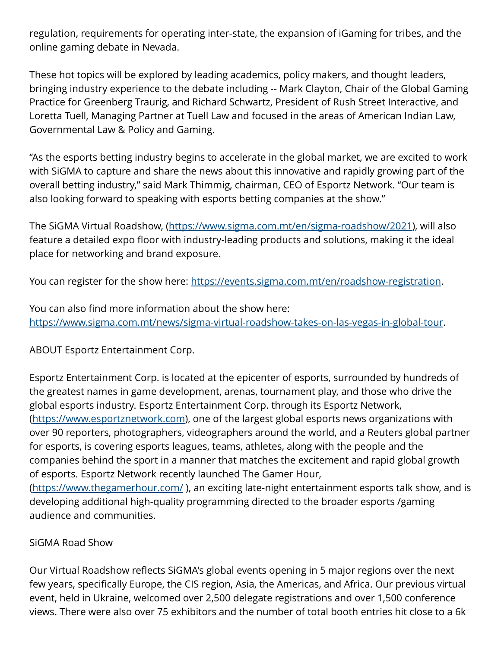regulation, requirements for operating inter-state, the expansion of iGaming for tribes, and the online gaming debate in Nevada.

These hot topics will be explored by leading academics, policy makers, and thought leaders, bringing industry experience to the debate including -- Mark Clayton, Chair of the Global Gaming Practice for Greenberg Traurig, and Richard Schwartz, President of Rush Street Interactive, and Loretta Tuell, Managing Partner at Tuell Law and focused in the areas of American Indian Law, Governmental Law & Policy and Gaming.

"As the esports betting industry begins to accelerate in the global market, we are excited to work with SiGMA to capture and share the news about this innovative and rapidly growing part of the overall betting industry," said Mark Thimmig, chairman, CEO of Esportz Network. "Our team is also looking forward to speaking with esports betting companies at the show."

The SiGMA Virtual Roadshow, [\(https://www.sigma.com.mt/en/sigma-roadshow/2021\)](https://www.sigma.com.mt/en/sigma-roadshow/2021), will also feature a detailed expo floor with industry-leading products and solutions, making it the ideal place for networking and brand exposure.

You can register for the show here:<https://events.sigma.com.mt/en/roadshow-registration>.

You can also find more information about the show here: [https://www.sigma.com.mt/news/sigma-virtual-roadshow-takes-on-las-vegas-in-global-tour.](https://www.sigma.com.mt/news/sigma-virtual-roadshow-takes-on-las-vegas-in-global-tour)

ABOUT Esportz Entertainment Corp.

Esportz Entertainment Corp. is located at the epicenter of esports, surrounded by hundreds of the greatest names in game development, arenas, tournament play, and those who drive the global esports industry. Esportz Entertainment Corp. through its Esportz Network, (<https://www.esportznetwork.com>), one of the largest global esports news organizations with over 90 reporters, photographers, videographers around the world, and a Reuters global partner for esports, is covering esports leagues, teams, athletes, along with the people and the companies behind the sport in a manner that matches the excitement and rapid global growth of esports. Esportz Network recently launched The Gamer Hour, (<https://www.thegamerhour.com/> ), an exciting late-night entertainment esports talk show, and is developing additional high-quality programming directed to the broader esports /gaming audience and communities.

## SiGMA Road Show

Our Virtual Roadshow reflects SiGMA's global events opening in 5 major regions over the next few years, specifically Europe, the CIS region, Asia, the Americas, and Africa. Our previous virtual event, held in Ukraine, welcomed over 2,500 delegate registrations and over 1,500 conference views. There were also over 75 exhibitors and the number of total booth entries hit close to a 6k